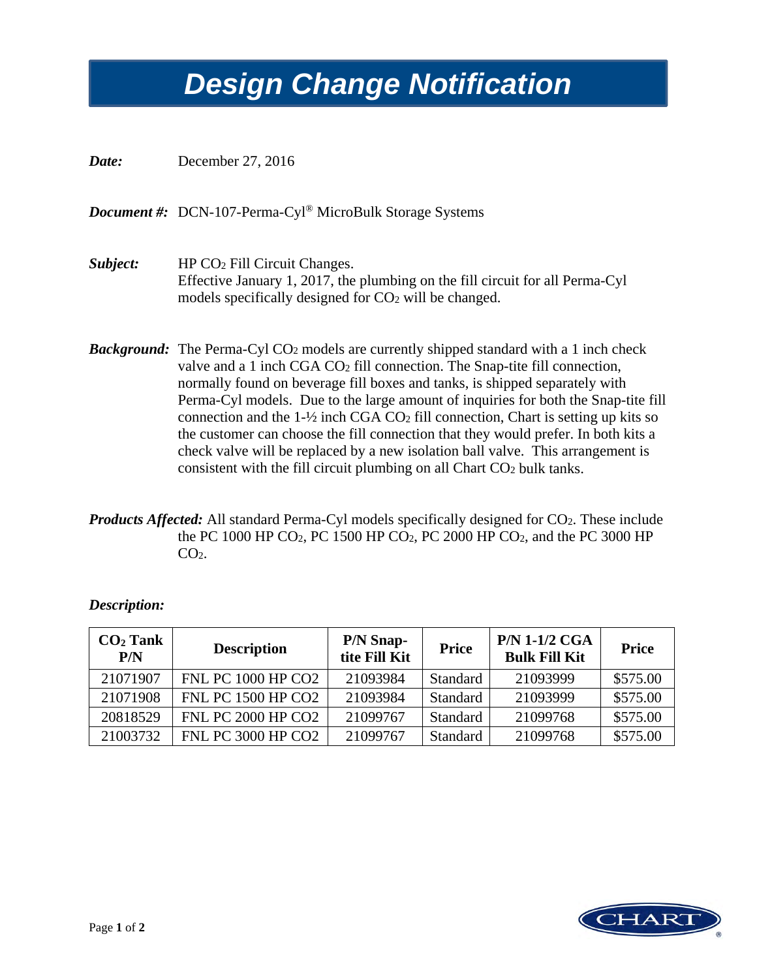## *Design Change Notification Design Change Notification*

*Date:* December 27, 2016

*Document #:* DCN-107-Perma-Cyl® MicroBulk Storage Systems

- *Subject:* HP CO2 Fill Circuit Changes. Effective January 1, 2017, the plumbing on the fill circuit for all Perma-Cyl models specifically designed for CO<sub>2</sub> will be changed.
- **Background:** The Perma-Cyl CO<sub>2</sub> models are currently shipped standard with a 1 inch check valve and a 1 inch CGA CO<sub>2</sub> fill connection. The Snap-tite fill connection, normally found on beverage fill boxes and tanks, is shipped separately with Perma-Cyl models. Due to the large amount of inquiries for both the Snap-tite fill connection and the  $1-\frac{1}{2}$  inch CGA CO<sub>2</sub> fill connection, Chart is setting up kits so the customer can choose the fill connection that they would prefer. In both kits a check valve will be replaced by a new isolation ball valve. This arrangement is consistent with the fill circuit plumbing on all Chart CO2 bulk tanks.
- *Products Affected:* All standard Perma-Cyl models specifically designed for CO<sub>2</sub>. These include the PC 1000 HP CO2, PC 1500 HP CO2, PC 2000 HP CO2, and the PC 3000 HP  $CO<sub>2</sub>$ .

| $CO2$ Tank<br>P/N | <b>Description</b>        | <b>P/N Snap-</b><br>tite Fill Kit | <b>Price</b>    | <b>P/N 1-1/2 CGA</b><br><b>Bulk Fill Kit</b> | <b>Price</b> |
|-------------------|---------------------------|-----------------------------------|-----------------|----------------------------------------------|--------------|
| 21071907          | <b>FNL PC 1000 HP CO2</b> | 21093984                          | Standard        | 21093999                                     | \$575.00     |
| 21071908          | <b>FNL PC 1500 HP CO2</b> | 21093984                          | Standard        | 21093999                                     | \$575.00     |
| 20818529          | <b>FNL PC 2000 HP CO2</b> | 21099767                          | <b>Standard</b> | 21099768                                     | \$575.00     |
| 21003732          | <b>FNL PC 3000 HP CO2</b> | 21099767                          | <b>Standard</b> | 21099768                                     | \$575.00     |

## *Description:*